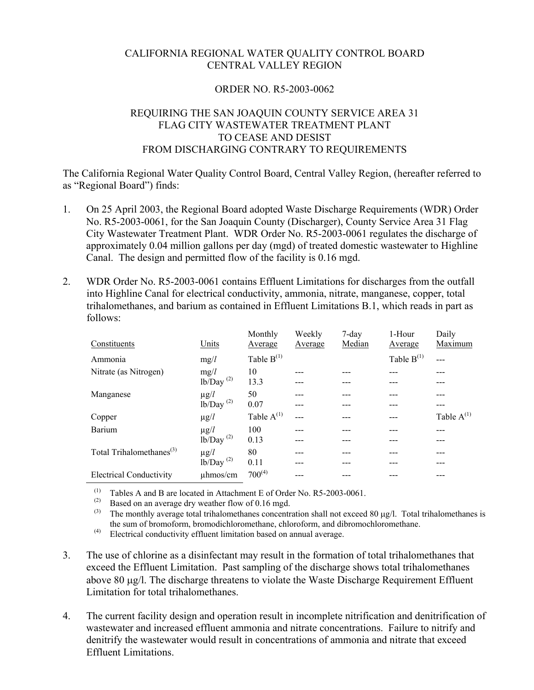## CALIFORNIA REGIONAL WATER QUALITY CONTROL BOARD CENTRAL VALLEY REGION

## ORDER NO. R5-2003-0062

## REQUIRING THE SAN JOAQUIN COUNTY SERVICE AREA 31 FLAG CITY WASTEWATER TREATMENT PLANT TO CEASE AND DESIST FROM DISCHARGING CONTRARY TO REQUIREMENTS

The California Regional Water Quality Control Board, Central Valley Region, (hereafter referred to as "Regional Board") finds:

- 1. On 25 April 2003, the Regional Board adopted Waste Discharge Requirements (WDR) Order No. R5-2003-0061, for the San Joaquin County (Discharger), County Service Area 31 Flag City Wastewater Treatment Plant. WDR Order No. R5-2003-0061 regulates the discharge of approximately 0.04 million gallons per day (mgd) of treated domestic wastewater to Highline Canal. The design and permitted flow of the facility is 0.16 mgd.
- 2. WDR Order No. R5-2003-0061 contains Effluent Limitations for discharges from the outfall into Highline Canal for electrical conductivity, ammonia, nitrate, manganese, copper, total trihalomethanes, and barium as contained in Effluent Limitations B.1, which reads in part as follows:

| Constituents                         | Units          | Monthly<br>Average | Weekly<br>Average | 7-day<br>Median | 1-Hour<br>Average | Daily<br>Maximum |
|--------------------------------------|----------------|--------------------|-------------------|-----------------|-------------------|------------------|
| Ammonia                              | mg/l           | Table $B^{(1)}$    |                   |                 | Table $B^{(1)}$   |                  |
| Nitrate (as Nitrogen)                | mg/l           | 10                 |                   |                 |                   |                  |
|                                      | $lb/Day^{(2)}$ | 13.3               |                   |                 |                   |                  |
| Manganese                            | $\mu$ g/ $l$   | 50                 |                   |                 |                   |                  |
|                                      | $lb/Day^{(2)}$ | 0.07               |                   |                 |                   |                  |
| Copper                               | $\mu$ g/ $l$   | Table $A^{(1)}$    |                   |                 |                   | Table $A^{(1)}$  |
| Barium                               | $\mu$ g/ $l$   | 100                |                   |                 |                   |                  |
|                                      | $lb/Day^{(2)}$ | 0.13               |                   |                 |                   |                  |
| Total Trihalomethanes <sup>(3)</sup> | $\mu$ g/ $l$   | 80                 |                   |                 |                   |                  |
|                                      | $lb/Day^{(2)}$ | 0.11               |                   |                 |                   |                  |
| <b>Electrical Conductivity</b>       | uhmos/cm       | $700^{(4)}$        |                   |                 |                   |                  |

(1) Tables A and B are located in Attachment E of Order No. R5-2003-0061.<br>(2) Based on an average dry weather flow of 0.16 mgd

(2) Based on an average dry weather flow of 0.16 mgd.<br>(3) The monthly average total tribal omethanes concentr

The monthly average total trihalomethanes concentration shall not exceed 80  $\mu$ g/l. Total trihalomethanes is the sum of bromoform, bromodichloromethane, chloroform, and dibromochloromethane.

(4) Electrical conductivity effluent limitation based on annual average.

- 3. The use of chlorine as a disinfectant may result in the formation of total trihalomethanes that exceed the Effluent Limitation. Past sampling of the discharge shows total trihalomethanes above 80 µg/l. The discharge threatens to violate the Waste Discharge Requirement Effluent Limitation for total trihalomethanes.
- 4. The current facility design and operation result in incomplete nitrification and denitrification of wastewater and increased effluent ammonia and nitrate concentrations. Failure to nitrify and denitrify the wastewater would result in concentrations of ammonia and nitrate that exceed Effluent Limitations.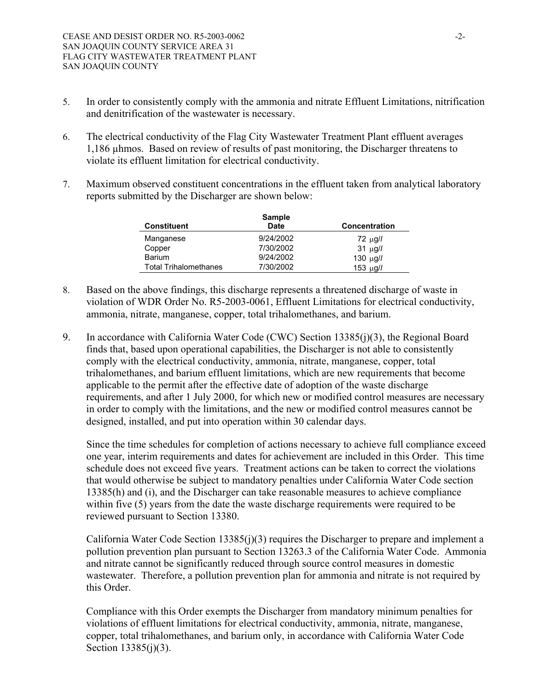- 5. In order to consistently comply with the ammonia and nitrate Effluent Limitations, nitrification and denitrification of the wastewater is necessary.
- 6. The electrical conductivity of the Flag City Wastewater Treatment Plant effluent averages 1,186 µhmos. Based on review of results of past monitoring, the Discharger threatens to violate its effluent limitation for electrical conductivity.
- 7. Maximum observed constituent concentrations in the effluent taken from analytical laboratory reports submitted by the Discharger are shown below:

| <b>Sample</b>                |           |                      |  |  |  |
|------------------------------|-----------|----------------------|--|--|--|
| <b>Constituent</b>           | Date      | <b>Concentration</b> |  |  |  |
| Manganese                    | 9/24/2002 | $72 \mu g/l$         |  |  |  |
| Copper                       | 7/30/2002 | $31 \mu g/l$         |  |  |  |
| <b>Barium</b>                | 9/24/2002 | 130 $\mu$ g//        |  |  |  |
| <b>Total Trihalomethanes</b> | 7/30/2002 | 153 µg//             |  |  |  |

- 8. Based on the above findings, this discharge represents a threatened discharge of waste in violation of WDR Order No. R5-2003-0061, Effluent Limitations for electrical conductivity, ammonia, nitrate, manganese, copper, total trihalomethanes, and barium.
- 9. In accordance with California Water Code (CWC) Section 13385(j)(3), the Regional Board finds that, based upon operational capabilities, the Discharger is not able to consistently comply with the electrical conductivity, ammonia, nitrate, manganese, copper, total trihalomethanes, and barium effluent limitations, which are new requirements that become applicable to the permit after the effective date of adoption of the waste discharge requirements, and after 1 July 2000, for which new or modified control measures are necessary in order to comply with the limitations, and the new or modified control measures cannot be designed, installed, and put into operation within 30 calendar days.

Since the time schedules for completion of actions necessary to achieve full compliance exceed one year, interim requirements and dates for achievement are included in this Order. This time schedule does not exceed five years. Treatment actions can be taken to correct the violations that would otherwise be subject to mandatory penalties under California Water Code section 13385(h) and (i), and the Discharger can take reasonable measures to achieve compliance within five (5) years from the date the waste discharge requirements were required to be reviewed pursuant to Section 13380.

California Water Code Section 13385(j)(3) requires the Discharger to prepare and implement a pollution prevention plan pursuant to Section 13263.3 of the California Water Code. Ammonia and nitrate cannot be significantly reduced through source control measures in domestic wastewater. Therefore, a pollution prevention plan for ammonia and nitrate is not required by this Order.

Compliance with this Order exempts the Discharger from mandatory minimum penalties for violations of effluent limitations for electrical conductivity, ammonia, nitrate, manganese, copper, total trihalomethanes, and barium only, in accordance with California Water Code Section 13385(j)(3).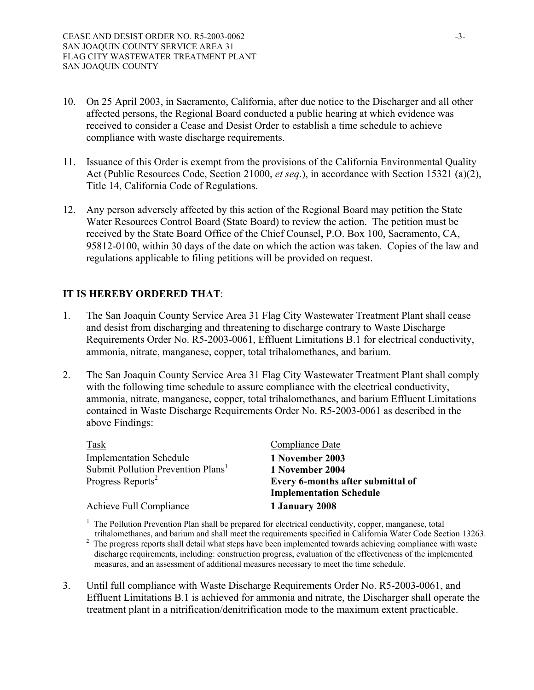- 10. On 25 April 2003, in Sacramento, California, after due notice to the Discharger and all other affected persons, the Regional Board conducted a public hearing at which evidence was received to consider a Cease and Desist Order to establish a time schedule to achieve compliance with waste discharge requirements.
- 11. Issuance of this Order is exempt from the provisions of the California Environmental Quality Act (Public Resources Code, Section 21000, *et seq*.), in accordance with Section 15321 (a)(2), Title 14, California Code of Regulations.
- 12. Any person adversely affected by this action of the Regional Board may petition the State Water Resources Control Board (State Board) to review the action. The petition must be received by the State Board Office of the Chief Counsel, P.O. Box 100, Sacramento, CA, 95812-0100, within 30 days of the date on which the action was taken. Copies of the law and regulations applicable to filing petitions will be provided on request.

## **IT IS HEREBY ORDERED THAT**:

- 1. The San Joaquin County Service Area 31 Flag City Wastewater Treatment Plant shall cease and desist from discharging and threatening to discharge contrary to Waste Discharge Requirements Order No. R5-2003-0061, Effluent Limitations B.1 for electrical conductivity, ammonia, nitrate, manganese, copper, total trihalomethanes, and barium.
- 2. The San Joaquin County Service Area 31 Flag City Wastewater Treatment Plant shall comply with the following time schedule to assure compliance with the electrical conductivity, ammonia, nitrate, manganese, copper, total trihalomethanes, and barium Effluent Limitations contained in Waste Discharge Requirements Order No. R5-2003-0061 as described in the above Findings:

| Task                                           | Compliance Date                   |
|------------------------------------------------|-----------------------------------|
| <b>Implementation Schedule</b>                 | 1 November 2003                   |
| Submit Pollution Prevention Plans <sup>1</sup> | 1 November 2004                   |
| Progress Reports <sup>2</sup>                  | Every 6-months after submittal of |
|                                                | <b>Implementation Schedule</b>    |
| Achieve Full Compliance                        | 1 January 2008                    |

<sup>1</sup> The Pollution Prevention Plan shall be prepared for electrical conductivity, copper, manganese, total trihalomethanes, and barium and shall meet the requirements specified in California Water Code Section 13263. 2

- The progress reports shall detail what steps have been implemented towards achieving compliance with waste discharge requirements, including: construction progress, evaluation of the effectiveness of the implemented measures, and an assessment of additional measures necessary to meet the time schedule.
- 3. Until full compliance with Waste Discharge Requirements Order No. R5-2003-0061, and Effluent Limitations B.1 is achieved for ammonia and nitrate, the Discharger shall operate the treatment plant in a nitrification/denitrification mode to the maximum extent practicable.